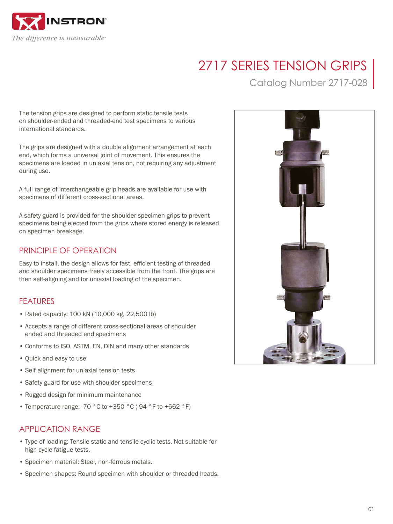

# 2717 SERIES TENSION GRIPS

Catalog Number 2717-028

The tension grips are designed to perform static tensile tests on shoulder-ended and threaded-end test specimens to various international standards.

The grips are designed with a double alignment arrangement at each end, which forms a universal joint of movement. This ensures the specimens are loaded in uniaxial tension, not requiring any adjustment during use.

A full range of interchangeable grip heads are available for use with specimens of different cross-sectional areas.

A safety guard is provided for the shoulder specimen grips to prevent specimens being ejected from the grips where stored energy is released on specimen breakage.

## PRINCIPLE OF OPERATION

Easy to install, the design allows for fast, efficient testing of threaded and shoulder specimens freely accessible from the front. The grips are then self-aligning and for uniaxial loading of the specimen.

# FEATURES

- Rated capacity: 100 kN (10,000 kg, 22,500 lb)
- Accepts a range of different cross-sectional areas of shoulder ended and threaded end specimens
- Conforms to ISO, ASTM, EN, DIN and many other standards
- Quick and easy to use
- Self alignment for uniaxial tension tests
- Safety guard for use with shoulder specimens
- Rugged design for minimum maintenance
- Temperature range: -70 °C to +350 °C (-94 °F to +662 °F)

# APPLICATION RANGE

- Type of loading: Tensile static and tensile cyclic tests. Not suitable for high cycle fatigue tests.
- Specimen material: Steel, non-ferrous metals.
- Specimen shapes: Round specimen with shoulder or threaded heads.